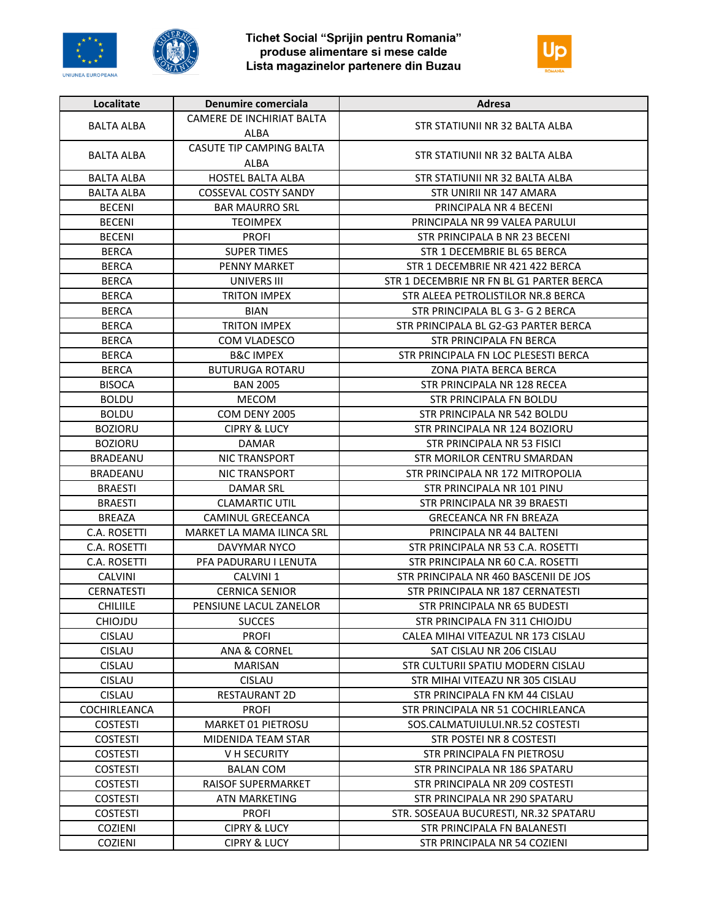





| Localitate        | Denumire comerciala                     | Adresa                                   |
|-------------------|-----------------------------------------|------------------------------------------|
|                   | CAMERE DE INCHIRIAT BALTA               |                                          |
| <b>BALTA ALBA</b> | ALBA                                    | STR STATIUNII NR 32 BALTA ALBA           |
| BALTA ALBA        | <b>CASUTE TIP CAMPING BALTA</b><br>ALBA | STR STATIUNII NR 32 BALTA ALBA           |
| <b>BALTA ALBA</b> | HOSTEL BALTA ALBA                       | STR STATIUNII NR 32 BALTA ALBA           |
| <b>BALTA ALBA</b> | <b>COSSEVAL COSTY SANDY</b>             | STR UNIRII NR 147 AMARA                  |
| <b>BECENI</b>     | <b>BAR MAURRO SRL</b>                   | PRINCIPALA NR 4 BECENI                   |
| <b>BECENI</b>     | <b>TEOIMPEX</b>                         | PRINCIPALA NR 99 VALEA PARULUI           |
| <b>BECENI</b>     | <b>PROFI</b>                            | STR PRINCIPALA B NR 23 BECENI            |
| <b>BERCA</b>      | <b>SUPER TIMES</b>                      | STR 1 DECEMBRIE BL 65 BERCA              |
| <b>BERCA</b>      | <b>PENNY MARKET</b>                     | STR 1 DECEMBRIE NR 421 422 BERCA         |
| <b>BERCA</b>      | UNIVERS III                             | STR 1 DECEMBRIE NR FN BL G1 PARTER BERCA |
| <b>BERCA</b>      | <b>TRITON IMPEX</b>                     | STR ALEEA PETROLISTILOR NR.8 BERCA       |
| <b>BERCA</b>      | <b>BIAN</b>                             | STR PRINCIPALA BL G 3- G 2 BERCA         |
| <b>BERCA</b>      | <b>TRITON IMPEX</b>                     | STR PRINCIPALA BL G2-G3 PARTER BERCA     |
| <b>BERCA</b>      | COM VLADESCO                            | STR PRINCIPALA FN BERCA                  |
| <b>BERCA</b>      | <b>B&amp;C IMPEX</b>                    | STR PRINCIPALA FN LOC PLESESTI BERCA     |
| <b>BERCA</b>      | <b>BUTURUGA ROTARU</b>                  | <b>ZONA PIATA BERCA BERCA</b>            |
| <b>BISOCA</b>     | <b>BAN 2005</b>                         | STR PRINCIPALA NR 128 RECEA              |
| <b>BOLDU</b>      | <b>MECOM</b>                            | STR PRINCIPALA FN BOLDU                  |
| <b>BOLDU</b>      | COM DENY 2005                           | STR PRINCIPALA NR 542 BOLDU              |
| <b>BOZIORU</b>    | <b>CIPRY &amp; LUCY</b>                 | STR PRINCIPALA NR 124 BOZIORU            |
| <b>BOZIORU</b>    | <b>DAMAR</b>                            | STR PRINCIPALA NR 53 FISICI              |
| <b>BRADEANU</b>   | <b>NIC TRANSPORT</b>                    | STR MORILOR CENTRU SMARDAN               |
| BRADEANU          | NIC TRANSPORT                           | STR PRINCIPALA NR 172 MITROPOLIA         |
| <b>BRAESTI</b>    | DAMAR SRL                               | STR PRINCIPALA NR 101 PINU               |
| <b>BRAESTI</b>    | <b>CLAMARTIC UTIL</b>                   | STR PRINCIPALA NR 39 BRAESTI             |
| <b>BREAZA</b>     | CAMINUL GRECEANCA                       | <b>GRECEANCA NR FN BREAZA</b>            |
| C.A. ROSETTI      | MARKET LA MAMA ILINCA SRL               | PRINCIPALA NR 44 BALTENI                 |
| C.A. ROSETTI      | DAVYMAR NYCO                            | STR PRINCIPALA NR 53 C.A. ROSETTI        |
| C.A. ROSETTI      | PFA PADURARU I LENUTA                   | STR PRINCIPALA NR 60 C.A. ROSETTI        |
| <b>CALVINI</b>    | CALVINI <sub>1</sub>                    | STR PRINCIPALA NR 460 BASCENII DE JOS    |
| CERNATESTI        | <b>CERNICA SENIOR</b>                   | STR PRINCIPALA NR 187 CERNATESTI         |
| <b>CHILIILE</b>   | PENSIUNE LACUL ZANELOR                  | STR PRINCIPALA NR 65 BUDESTI             |
| CHIOJDU           | <b>SUCCES</b>                           | STR PRINCIPALA FN 311 CHIOJDU            |
| <b>CISLAU</b>     | <b>PROFI</b>                            | CALEA MIHAI VITEAZUL NR 173 CISLAU       |
| <b>CISLAU</b>     | <b>ANA &amp; CORNEL</b>                 | SAT CISLAU NR 206 CISLAU                 |
| <b>CISLAU</b>     | <b>MARISAN</b>                          | STR CULTURII SPATIU MODERN CISLAU        |
| <b>CISLAU</b>     | CISLAU                                  | STR MIHAI VITEAZU NR 305 CISLAU          |
| <b>CISLAU</b>     | <b>RESTAURANT 2D</b>                    | STR PRINCIPALA FN KM 44 CISLAU           |
| COCHIRLEANCA      | <b>PROFI</b>                            | STR PRINCIPALA NR 51 COCHIRLEANCA        |
| <b>COSTESTI</b>   | <b>MARKET 01 PIETROSU</b>               | SOS.CALMATUIULUI.NR.52 COSTESTI          |
| <b>COSTESTI</b>   | MIDENIDA TEAM STAR                      | STR POSTEI NR 8 COSTESTI                 |
| <b>COSTESTI</b>   | V H SECURITY                            | STR PRINCIPALA FN PIETROSU               |
| <b>COSTESTI</b>   | <b>BALAN COM</b>                        | STR PRINCIPALA NR 186 SPATARU            |
| <b>COSTESTI</b>   | <b>RAISOF SUPERMARKET</b>               | STR PRINCIPALA NR 209 COSTESTI           |
| <b>COSTESTI</b>   | <b>ATN MARKETING</b>                    | STR PRINCIPALA NR 290 SPATARU            |
| <b>COSTESTI</b>   | <b>PROFI</b>                            | STR. SOSEAUA BUCURESTI, NR.32 SPATARU    |
| COZIENI           | <b>CIPRY &amp; LUCY</b>                 | STR PRINCIPALA FN BALANESTI              |
| <b>COZIENI</b>    | <b>CIPRY &amp; LUCY</b>                 | STR PRINCIPALA NR 54 COZIENI             |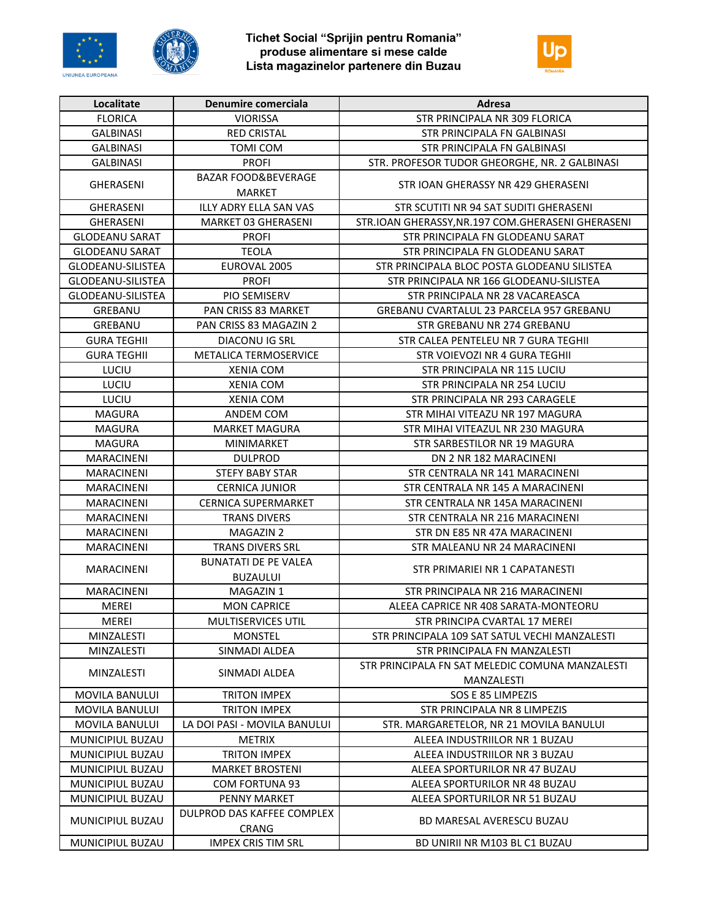





| <b>FLORICA</b><br><b>VIORISSA</b><br>STR PRINCIPALA NR 309 FLORICA<br><b>GALBINASI</b><br><b>RED CRISTAL</b><br>STR PRINCIPALA FN GALBINASI<br><b>GALBINASI</b><br>TOMI COM<br>STR PRINCIPALA FN GALBINASI<br><b>PROFI</b><br><b>GALBINASI</b><br>STR. PROFESOR TUDOR GHEORGHE, NR. 2 GALBINASI<br><b>BAZAR FOOD&amp;BEVERAGE</b><br>STR IOAN GHERASSY NR 429 GHERASENI<br><b>GHERASENI</b><br><b>MARKET</b><br>ILLY ADRY ELLA SAN VAS<br>GHERASENI<br>STR SCUTITI NR 94 SAT SUDITI GHERASENI<br>MARKET 03 GHERASENI<br><b>GHERASENI</b><br>STR.IOAN GHERASSY, NR.197 COM.GHERASENI GHERASENI<br><b>GLODEANU SARAT</b><br><b>PROFI</b><br>STR PRINCIPALA FN GLODEANU SARAT<br><b>GLODEANU SARAT</b><br><b>TEOLA</b><br>STR PRINCIPALA FN GLODEANU SARAT<br>GLODEANU-SILISTEA<br>EUROVAL 2005<br>STR PRINCIPALA BLOC POSTA GLODEANU SILISTEA<br><b>PROFI</b><br><b>GLODEANU-SILISTEA</b><br>STR PRINCIPALA NR 166 GLODEANU-SILISTEA<br>GLODEANU-SILISTEA<br>PIO SEMISERV<br>STR PRINCIPALA NR 28 VACAREASCA<br>GREBANU<br><b>PAN CRISS 83 MARKET</b><br>GREBANU CVARTALUL 23 PARCELA 957 GREBANU<br>GREBANU<br>PAN CRISS 83 MAGAZIN 2<br>STR GREBANU NR 274 GREBANU<br><b>GURA TEGHII</b><br>DIACONU IG SRL<br>STR CALEA PENTELEU NR 7 GURA TEGHII<br><b>GURA TEGHII</b><br><b>METALICA TERMOSERVICE</b><br>STR VOIEVOZI NR 4 GURA TEGHII<br>LUCIU<br>STR PRINCIPALA NR 115 LUCIU<br>XENIA COM<br>LUCIU<br><b>XENIA COM</b><br>STR PRINCIPALA NR 254 LUCIU<br>LUCIU<br><b>XENIA COM</b><br>STR PRINCIPALA NR 293 CARAGELE<br><b>MAGURA</b><br>STR MIHAI VITEAZU NR 197 MAGURA<br>ANDEM COM<br><b>MAGURA</b><br><b>MARKET MAGURA</b><br>STR MIHAI VITEAZUL NR 230 MAGURA<br><b>MAGURA</b><br>STR SARBESTILOR NR 19 MAGURA<br>MINIMARKET<br><b>MARACINENI</b><br><b>DULPROD</b><br>DN 2 NR 182 MARACINENI<br>STR CENTRALA NR 141 MARACINENI<br>MARACINENI<br>STEFY BABY STAR<br><b>MARACINENI</b><br><b>CERNICA JUNIOR</b><br>STR CENTRALA NR 145 A MARACINENI<br><b>CERNICA SUPERMARKET</b><br>MARACINENI<br>STR CENTRALA NR 145A MARACINENI<br><b>MARACINENI</b><br><b>TRANS DIVERS</b><br>STR CENTRALA NR 216 MARACINENI<br><b>MARACINENI</b><br><b>MAGAZIN 2</b><br>STR DN E85 NR 47A MARACINENI<br><b>MARACINENI</b><br><b>TRANS DIVERS SRL</b><br>STR MALEANU NR 24 MARACINENI<br><b>BUNATATI DE PE VALEA</b><br><b>MARACINENI</b><br>STR PRIMARIEI NR 1 CAPATANESTI<br><b>BUZAULUI</b><br><b>MARACINENI</b><br>MAGAZIN 1<br>STR PRINCIPALA NR 216 MARACINENI<br><b>MEREI</b><br><b>MON CAPRICE</b><br>ALEEA CAPRICE NR 408 SARATA-MONTEORU<br>MEREI<br>MULTISERVICES UTIL<br>STR PRINCIPA CVARTAL 17 MEREI<br><b>MINZALESTI</b><br><b>MONSTEL</b><br>STR PRINCIPALA 109 SAT SATUL VECHI MANZALESTI<br><b>MINZALESTI</b><br>SINMADI ALDEA<br>STR PRINCIPALA FN MANZALESTI<br>STR PRINCIPALA FN SAT MELEDIC COMUNA MANZALESTI<br>MINZALESTI<br>SINMADI ALDEA<br>MANZALESTI<br><b>MOVILA BANULUI</b><br><b>TRITON IMPEX</b><br>SOS E 85 LIMPEZIS<br><b>MOVILA BANULUI</b><br><b>TRITON IMPEX</b><br>STR PRINCIPALA NR 8 LIMPEZIS<br>LA DOI PASI - MOVILA BANULUI<br><b>MOVILA BANULUI</b><br>STR. MARGARETELOR, NR 21 MOVILA BANULUI<br>MUNICIPIUL BUZAU<br><b>METRIX</b><br>ALEEA INDUSTRIILOR NR 1 BUZAU<br><b>MUNICIPIUL BUZAU</b><br><b>TRITON IMPEX</b><br>ALEEA INDUSTRIILOR NR 3 BUZAU<br><b>MUNICIPIUL BUZAU</b><br><b>MARKET BROSTENI</b><br>ALEEA SPORTURILOR NR 47 BUZAU<br>MUNICIPIUL BUZAU<br><b>COM FORTUNA 93</b><br>ALEEA SPORTURILOR NR 48 BUZAU<br>MUNICIPIUL BUZAU<br>PENNY MARKET<br>ALEEA SPORTURILOR NR 51 BUZAU<br>DULPROD DAS KAFFEE COMPLEX<br>MUNICIPIUL BUZAU<br>BD MARESAL AVERESCU BUZAU<br><b>CRANG</b><br>MUNICIPIUL BUZAU<br><b>IMPEX CRIS TIM SRL</b><br>BD UNIRII NR M103 BL C1 BUZAU | Localitate | Denumire comerciala | Adresa |
|--------------------------------------------------------------------------------------------------------------------------------------------------------------------------------------------------------------------------------------------------------------------------------------------------------------------------------------------------------------------------------------------------------------------------------------------------------------------------------------------------------------------------------------------------------------------------------------------------------------------------------------------------------------------------------------------------------------------------------------------------------------------------------------------------------------------------------------------------------------------------------------------------------------------------------------------------------------------------------------------------------------------------------------------------------------------------------------------------------------------------------------------------------------------------------------------------------------------------------------------------------------------------------------------------------------------------------------------------------------------------------------------------------------------------------------------------------------------------------------------------------------------------------------------------------------------------------------------------------------------------------------------------------------------------------------------------------------------------------------------------------------------------------------------------------------------------------------------------------------------------------------------------------------------------------------------------------------------------------------------------------------------------------------------------------------------------------------------------------------------------------------------------------------------------------------------------------------------------------------------------------------------------------------------------------------------------------------------------------------------------------------------------------------------------------------------------------------------------------------------------------------------------------------------------------------------------------------------------------------------------------------------------------------------------------------------------------------------------------------------------------------------------------------------------------------------------------------------------------------------------------------------------------------------------------------------------------------------------------------------------------------------------------------------------------------------------------------------------------------------------------------------------------------------------------------------------------------------------------------------------------------------------------------------------------------------------------------------------------------------------------------------------------------------------------------------------------------------------------------------------------------------------------------------------------------------------------------------------------------------------------------------------------------------------------------------------------------------------|------------|---------------------|--------|
|                                                                                                                                                                                                                                                                                                                                                                                                                                                                                                                                                                                                                                                                                                                                                                                                                                                                                                                                                                                                                                                                                                                                                                                                                                                                                                                                                                                                                                                                                                                                                                                                                                                                                                                                                                                                                                                                                                                                                                                                                                                                                                                                                                                                                                                                                                                                                                                                                                                                                                                                                                                                                                                                                                                                                                                                                                                                                                                                                                                                                                                                                                                                                                                                                                                                                                                                                                                                                                                                                                                                                                                                                                                                                                                          |            |                     |        |
|                                                                                                                                                                                                                                                                                                                                                                                                                                                                                                                                                                                                                                                                                                                                                                                                                                                                                                                                                                                                                                                                                                                                                                                                                                                                                                                                                                                                                                                                                                                                                                                                                                                                                                                                                                                                                                                                                                                                                                                                                                                                                                                                                                                                                                                                                                                                                                                                                                                                                                                                                                                                                                                                                                                                                                                                                                                                                                                                                                                                                                                                                                                                                                                                                                                                                                                                                                                                                                                                                                                                                                                                                                                                                                                          |            |                     |        |
|                                                                                                                                                                                                                                                                                                                                                                                                                                                                                                                                                                                                                                                                                                                                                                                                                                                                                                                                                                                                                                                                                                                                                                                                                                                                                                                                                                                                                                                                                                                                                                                                                                                                                                                                                                                                                                                                                                                                                                                                                                                                                                                                                                                                                                                                                                                                                                                                                                                                                                                                                                                                                                                                                                                                                                                                                                                                                                                                                                                                                                                                                                                                                                                                                                                                                                                                                                                                                                                                                                                                                                                                                                                                                                                          |            |                     |        |
|                                                                                                                                                                                                                                                                                                                                                                                                                                                                                                                                                                                                                                                                                                                                                                                                                                                                                                                                                                                                                                                                                                                                                                                                                                                                                                                                                                                                                                                                                                                                                                                                                                                                                                                                                                                                                                                                                                                                                                                                                                                                                                                                                                                                                                                                                                                                                                                                                                                                                                                                                                                                                                                                                                                                                                                                                                                                                                                                                                                                                                                                                                                                                                                                                                                                                                                                                                                                                                                                                                                                                                                                                                                                                                                          |            |                     |        |
|                                                                                                                                                                                                                                                                                                                                                                                                                                                                                                                                                                                                                                                                                                                                                                                                                                                                                                                                                                                                                                                                                                                                                                                                                                                                                                                                                                                                                                                                                                                                                                                                                                                                                                                                                                                                                                                                                                                                                                                                                                                                                                                                                                                                                                                                                                                                                                                                                                                                                                                                                                                                                                                                                                                                                                                                                                                                                                                                                                                                                                                                                                                                                                                                                                                                                                                                                                                                                                                                                                                                                                                                                                                                                                                          |            |                     |        |
|                                                                                                                                                                                                                                                                                                                                                                                                                                                                                                                                                                                                                                                                                                                                                                                                                                                                                                                                                                                                                                                                                                                                                                                                                                                                                                                                                                                                                                                                                                                                                                                                                                                                                                                                                                                                                                                                                                                                                                                                                                                                                                                                                                                                                                                                                                                                                                                                                                                                                                                                                                                                                                                                                                                                                                                                                                                                                                                                                                                                                                                                                                                                                                                                                                                                                                                                                                                                                                                                                                                                                                                                                                                                                                                          |            |                     |        |
|                                                                                                                                                                                                                                                                                                                                                                                                                                                                                                                                                                                                                                                                                                                                                                                                                                                                                                                                                                                                                                                                                                                                                                                                                                                                                                                                                                                                                                                                                                                                                                                                                                                                                                                                                                                                                                                                                                                                                                                                                                                                                                                                                                                                                                                                                                                                                                                                                                                                                                                                                                                                                                                                                                                                                                                                                                                                                                                                                                                                                                                                                                                                                                                                                                                                                                                                                                                                                                                                                                                                                                                                                                                                                                                          |            |                     |        |
|                                                                                                                                                                                                                                                                                                                                                                                                                                                                                                                                                                                                                                                                                                                                                                                                                                                                                                                                                                                                                                                                                                                                                                                                                                                                                                                                                                                                                                                                                                                                                                                                                                                                                                                                                                                                                                                                                                                                                                                                                                                                                                                                                                                                                                                                                                                                                                                                                                                                                                                                                                                                                                                                                                                                                                                                                                                                                                                                                                                                                                                                                                                                                                                                                                                                                                                                                                                                                                                                                                                                                                                                                                                                                                                          |            |                     |        |
|                                                                                                                                                                                                                                                                                                                                                                                                                                                                                                                                                                                                                                                                                                                                                                                                                                                                                                                                                                                                                                                                                                                                                                                                                                                                                                                                                                                                                                                                                                                                                                                                                                                                                                                                                                                                                                                                                                                                                                                                                                                                                                                                                                                                                                                                                                                                                                                                                                                                                                                                                                                                                                                                                                                                                                                                                                                                                                                                                                                                                                                                                                                                                                                                                                                                                                                                                                                                                                                                                                                                                                                                                                                                                                                          |            |                     |        |
|                                                                                                                                                                                                                                                                                                                                                                                                                                                                                                                                                                                                                                                                                                                                                                                                                                                                                                                                                                                                                                                                                                                                                                                                                                                                                                                                                                                                                                                                                                                                                                                                                                                                                                                                                                                                                                                                                                                                                                                                                                                                                                                                                                                                                                                                                                                                                                                                                                                                                                                                                                                                                                                                                                                                                                                                                                                                                                                                                                                                                                                                                                                                                                                                                                                                                                                                                                                                                                                                                                                                                                                                                                                                                                                          |            |                     |        |
|                                                                                                                                                                                                                                                                                                                                                                                                                                                                                                                                                                                                                                                                                                                                                                                                                                                                                                                                                                                                                                                                                                                                                                                                                                                                                                                                                                                                                                                                                                                                                                                                                                                                                                                                                                                                                                                                                                                                                                                                                                                                                                                                                                                                                                                                                                                                                                                                                                                                                                                                                                                                                                                                                                                                                                                                                                                                                                                                                                                                                                                                                                                                                                                                                                                                                                                                                                                                                                                                                                                                                                                                                                                                                                                          |            |                     |        |
|                                                                                                                                                                                                                                                                                                                                                                                                                                                                                                                                                                                                                                                                                                                                                                                                                                                                                                                                                                                                                                                                                                                                                                                                                                                                                                                                                                                                                                                                                                                                                                                                                                                                                                                                                                                                                                                                                                                                                                                                                                                                                                                                                                                                                                                                                                                                                                                                                                                                                                                                                                                                                                                                                                                                                                                                                                                                                                                                                                                                                                                                                                                                                                                                                                                                                                                                                                                                                                                                                                                                                                                                                                                                                                                          |            |                     |        |
|                                                                                                                                                                                                                                                                                                                                                                                                                                                                                                                                                                                                                                                                                                                                                                                                                                                                                                                                                                                                                                                                                                                                                                                                                                                                                                                                                                                                                                                                                                                                                                                                                                                                                                                                                                                                                                                                                                                                                                                                                                                                                                                                                                                                                                                                                                                                                                                                                                                                                                                                                                                                                                                                                                                                                                                                                                                                                                                                                                                                                                                                                                                                                                                                                                                                                                                                                                                                                                                                                                                                                                                                                                                                                                                          |            |                     |        |
|                                                                                                                                                                                                                                                                                                                                                                                                                                                                                                                                                                                                                                                                                                                                                                                                                                                                                                                                                                                                                                                                                                                                                                                                                                                                                                                                                                                                                                                                                                                                                                                                                                                                                                                                                                                                                                                                                                                                                                                                                                                                                                                                                                                                                                                                                                                                                                                                                                                                                                                                                                                                                                                                                                                                                                                                                                                                                                                                                                                                                                                                                                                                                                                                                                                                                                                                                                                                                                                                                                                                                                                                                                                                                                                          |            |                     |        |
|                                                                                                                                                                                                                                                                                                                                                                                                                                                                                                                                                                                                                                                                                                                                                                                                                                                                                                                                                                                                                                                                                                                                                                                                                                                                                                                                                                                                                                                                                                                                                                                                                                                                                                                                                                                                                                                                                                                                                                                                                                                                                                                                                                                                                                                                                                                                                                                                                                                                                                                                                                                                                                                                                                                                                                                                                                                                                                                                                                                                                                                                                                                                                                                                                                                                                                                                                                                                                                                                                                                                                                                                                                                                                                                          |            |                     |        |
|                                                                                                                                                                                                                                                                                                                                                                                                                                                                                                                                                                                                                                                                                                                                                                                                                                                                                                                                                                                                                                                                                                                                                                                                                                                                                                                                                                                                                                                                                                                                                                                                                                                                                                                                                                                                                                                                                                                                                                                                                                                                                                                                                                                                                                                                                                                                                                                                                                                                                                                                                                                                                                                                                                                                                                                                                                                                                                                                                                                                                                                                                                                                                                                                                                                                                                                                                                                                                                                                                                                                                                                                                                                                                                                          |            |                     |        |
|                                                                                                                                                                                                                                                                                                                                                                                                                                                                                                                                                                                                                                                                                                                                                                                                                                                                                                                                                                                                                                                                                                                                                                                                                                                                                                                                                                                                                                                                                                                                                                                                                                                                                                                                                                                                                                                                                                                                                                                                                                                                                                                                                                                                                                                                                                                                                                                                                                                                                                                                                                                                                                                                                                                                                                                                                                                                                                                                                                                                                                                                                                                                                                                                                                                                                                                                                                                                                                                                                                                                                                                                                                                                                                                          |            |                     |        |
|                                                                                                                                                                                                                                                                                                                                                                                                                                                                                                                                                                                                                                                                                                                                                                                                                                                                                                                                                                                                                                                                                                                                                                                                                                                                                                                                                                                                                                                                                                                                                                                                                                                                                                                                                                                                                                                                                                                                                                                                                                                                                                                                                                                                                                                                                                                                                                                                                                                                                                                                                                                                                                                                                                                                                                                                                                                                                                                                                                                                                                                                                                                                                                                                                                                                                                                                                                                                                                                                                                                                                                                                                                                                                                                          |            |                     |        |
|                                                                                                                                                                                                                                                                                                                                                                                                                                                                                                                                                                                                                                                                                                                                                                                                                                                                                                                                                                                                                                                                                                                                                                                                                                                                                                                                                                                                                                                                                                                                                                                                                                                                                                                                                                                                                                                                                                                                                                                                                                                                                                                                                                                                                                                                                                                                                                                                                                                                                                                                                                                                                                                                                                                                                                                                                                                                                                                                                                                                                                                                                                                                                                                                                                                                                                                                                                                                                                                                                                                                                                                                                                                                                                                          |            |                     |        |
|                                                                                                                                                                                                                                                                                                                                                                                                                                                                                                                                                                                                                                                                                                                                                                                                                                                                                                                                                                                                                                                                                                                                                                                                                                                                                                                                                                                                                                                                                                                                                                                                                                                                                                                                                                                                                                                                                                                                                                                                                                                                                                                                                                                                                                                                                                                                                                                                                                                                                                                                                                                                                                                                                                                                                                                                                                                                                                                                                                                                                                                                                                                                                                                                                                                                                                                                                                                                                                                                                                                                                                                                                                                                                                                          |            |                     |        |
|                                                                                                                                                                                                                                                                                                                                                                                                                                                                                                                                                                                                                                                                                                                                                                                                                                                                                                                                                                                                                                                                                                                                                                                                                                                                                                                                                                                                                                                                                                                                                                                                                                                                                                                                                                                                                                                                                                                                                                                                                                                                                                                                                                                                                                                                                                                                                                                                                                                                                                                                                                                                                                                                                                                                                                                                                                                                                                                                                                                                                                                                                                                                                                                                                                                                                                                                                                                                                                                                                                                                                                                                                                                                                                                          |            |                     |        |
|                                                                                                                                                                                                                                                                                                                                                                                                                                                                                                                                                                                                                                                                                                                                                                                                                                                                                                                                                                                                                                                                                                                                                                                                                                                                                                                                                                                                                                                                                                                                                                                                                                                                                                                                                                                                                                                                                                                                                                                                                                                                                                                                                                                                                                                                                                                                                                                                                                                                                                                                                                                                                                                                                                                                                                                                                                                                                                                                                                                                                                                                                                                                                                                                                                                                                                                                                                                                                                                                                                                                                                                                                                                                                                                          |            |                     |        |
|                                                                                                                                                                                                                                                                                                                                                                                                                                                                                                                                                                                                                                                                                                                                                                                                                                                                                                                                                                                                                                                                                                                                                                                                                                                                                                                                                                                                                                                                                                                                                                                                                                                                                                                                                                                                                                                                                                                                                                                                                                                                                                                                                                                                                                                                                                                                                                                                                                                                                                                                                                                                                                                                                                                                                                                                                                                                                                                                                                                                                                                                                                                                                                                                                                                                                                                                                                                                                                                                                                                                                                                                                                                                                                                          |            |                     |        |
|                                                                                                                                                                                                                                                                                                                                                                                                                                                                                                                                                                                                                                                                                                                                                                                                                                                                                                                                                                                                                                                                                                                                                                                                                                                                                                                                                                                                                                                                                                                                                                                                                                                                                                                                                                                                                                                                                                                                                                                                                                                                                                                                                                                                                                                                                                                                                                                                                                                                                                                                                                                                                                                                                                                                                                                                                                                                                                                                                                                                                                                                                                                                                                                                                                                                                                                                                                                                                                                                                                                                                                                                                                                                                                                          |            |                     |        |
|                                                                                                                                                                                                                                                                                                                                                                                                                                                                                                                                                                                                                                                                                                                                                                                                                                                                                                                                                                                                                                                                                                                                                                                                                                                                                                                                                                                                                                                                                                                                                                                                                                                                                                                                                                                                                                                                                                                                                                                                                                                                                                                                                                                                                                                                                                                                                                                                                                                                                                                                                                                                                                                                                                                                                                                                                                                                                                                                                                                                                                                                                                                                                                                                                                                                                                                                                                                                                                                                                                                                                                                                                                                                                                                          |            |                     |        |
|                                                                                                                                                                                                                                                                                                                                                                                                                                                                                                                                                                                                                                                                                                                                                                                                                                                                                                                                                                                                                                                                                                                                                                                                                                                                                                                                                                                                                                                                                                                                                                                                                                                                                                                                                                                                                                                                                                                                                                                                                                                                                                                                                                                                                                                                                                                                                                                                                                                                                                                                                                                                                                                                                                                                                                                                                                                                                                                                                                                                                                                                                                                                                                                                                                                                                                                                                                                                                                                                                                                                                                                                                                                                                                                          |            |                     |        |
|                                                                                                                                                                                                                                                                                                                                                                                                                                                                                                                                                                                                                                                                                                                                                                                                                                                                                                                                                                                                                                                                                                                                                                                                                                                                                                                                                                                                                                                                                                                                                                                                                                                                                                                                                                                                                                                                                                                                                                                                                                                                                                                                                                                                                                                                                                                                                                                                                                                                                                                                                                                                                                                                                                                                                                                                                                                                                                                                                                                                                                                                                                                                                                                                                                                                                                                                                                                                                                                                                                                                                                                                                                                                                                                          |            |                     |        |
|                                                                                                                                                                                                                                                                                                                                                                                                                                                                                                                                                                                                                                                                                                                                                                                                                                                                                                                                                                                                                                                                                                                                                                                                                                                                                                                                                                                                                                                                                                                                                                                                                                                                                                                                                                                                                                                                                                                                                                                                                                                                                                                                                                                                                                                                                                                                                                                                                                                                                                                                                                                                                                                                                                                                                                                                                                                                                                                                                                                                                                                                                                                                                                                                                                                                                                                                                                                                                                                                                                                                                                                                                                                                                                                          |            |                     |        |
|                                                                                                                                                                                                                                                                                                                                                                                                                                                                                                                                                                                                                                                                                                                                                                                                                                                                                                                                                                                                                                                                                                                                                                                                                                                                                                                                                                                                                                                                                                                                                                                                                                                                                                                                                                                                                                                                                                                                                                                                                                                                                                                                                                                                                                                                                                                                                                                                                                                                                                                                                                                                                                                                                                                                                                                                                                                                                                                                                                                                                                                                                                                                                                                                                                                                                                                                                                                                                                                                                                                                                                                                                                                                                                                          |            |                     |        |
|                                                                                                                                                                                                                                                                                                                                                                                                                                                                                                                                                                                                                                                                                                                                                                                                                                                                                                                                                                                                                                                                                                                                                                                                                                                                                                                                                                                                                                                                                                                                                                                                                                                                                                                                                                                                                                                                                                                                                                                                                                                                                                                                                                                                                                                                                                                                                                                                                                                                                                                                                                                                                                                                                                                                                                                                                                                                                                                                                                                                                                                                                                                                                                                                                                                                                                                                                                                                                                                                                                                                                                                                                                                                                                                          |            |                     |        |
|                                                                                                                                                                                                                                                                                                                                                                                                                                                                                                                                                                                                                                                                                                                                                                                                                                                                                                                                                                                                                                                                                                                                                                                                                                                                                                                                                                                                                                                                                                                                                                                                                                                                                                                                                                                                                                                                                                                                                                                                                                                                                                                                                                                                                                                                                                                                                                                                                                                                                                                                                                                                                                                                                                                                                                                                                                                                                                                                                                                                                                                                                                                                                                                                                                                                                                                                                                                                                                                                                                                                                                                                                                                                                                                          |            |                     |        |
|                                                                                                                                                                                                                                                                                                                                                                                                                                                                                                                                                                                                                                                                                                                                                                                                                                                                                                                                                                                                                                                                                                                                                                                                                                                                                                                                                                                                                                                                                                                                                                                                                                                                                                                                                                                                                                                                                                                                                                                                                                                                                                                                                                                                                                                                                                                                                                                                                                                                                                                                                                                                                                                                                                                                                                                                                                                                                                                                                                                                                                                                                                                                                                                                                                                                                                                                                                                                                                                                                                                                                                                                                                                                                                                          |            |                     |        |
|                                                                                                                                                                                                                                                                                                                                                                                                                                                                                                                                                                                                                                                                                                                                                                                                                                                                                                                                                                                                                                                                                                                                                                                                                                                                                                                                                                                                                                                                                                                                                                                                                                                                                                                                                                                                                                                                                                                                                                                                                                                                                                                                                                                                                                                                                                                                                                                                                                                                                                                                                                                                                                                                                                                                                                                                                                                                                                                                                                                                                                                                                                                                                                                                                                                                                                                                                                                                                                                                                                                                                                                                                                                                                                                          |            |                     |        |
|                                                                                                                                                                                                                                                                                                                                                                                                                                                                                                                                                                                                                                                                                                                                                                                                                                                                                                                                                                                                                                                                                                                                                                                                                                                                                                                                                                                                                                                                                                                                                                                                                                                                                                                                                                                                                                                                                                                                                                                                                                                                                                                                                                                                                                                                                                                                                                                                                                                                                                                                                                                                                                                                                                                                                                                                                                                                                                                                                                                                                                                                                                                                                                                                                                                                                                                                                                                                                                                                                                                                                                                                                                                                                                                          |            |                     |        |
|                                                                                                                                                                                                                                                                                                                                                                                                                                                                                                                                                                                                                                                                                                                                                                                                                                                                                                                                                                                                                                                                                                                                                                                                                                                                                                                                                                                                                                                                                                                                                                                                                                                                                                                                                                                                                                                                                                                                                                                                                                                                                                                                                                                                                                                                                                                                                                                                                                                                                                                                                                                                                                                                                                                                                                                                                                                                                                                                                                                                                                                                                                                                                                                                                                                                                                                                                                                                                                                                                                                                                                                                                                                                                                                          |            |                     |        |
|                                                                                                                                                                                                                                                                                                                                                                                                                                                                                                                                                                                                                                                                                                                                                                                                                                                                                                                                                                                                                                                                                                                                                                                                                                                                                                                                                                                                                                                                                                                                                                                                                                                                                                                                                                                                                                                                                                                                                                                                                                                                                                                                                                                                                                                                                                                                                                                                                                                                                                                                                                                                                                                                                                                                                                                                                                                                                                                                                                                                                                                                                                                                                                                                                                                                                                                                                                                                                                                                                                                                                                                                                                                                                                                          |            |                     |        |
|                                                                                                                                                                                                                                                                                                                                                                                                                                                                                                                                                                                                                                                                                                                                                                                                                                                                                                                                                                                                                                                                                                                                                                                                                                                                                                                                                                                                                                                                                                                                                                                                                                                                                                                                                                                                                                                                                                                                                                                                                                                                                                                                                                                                                                                                                                                                                                                                                                                                                                                                                                                                                                                                                                                                                                                                                                                                                                                                                                                                                                                                                                                                                                                                                                                                                                                                                                                                                                                                                                                                                                                                                                                                                                                          |            |                     |        |
|                                                                                                                                                                                                                                                                                                                                                                                                                                                                                                                                                                                                                                                                                                                                                                                                                                                                                                                                                                                                                                                                                                                                                                                                                                                                                                                                                                                                                                                                                                                                                                                                                                                                                                                                                                                                                                                                                                                                                                                                                                                                                                                                                                                                                                                                                                                                                                                                                                                                                                                                                                                                                                                                                                                                                                                                                                                                                                                                                                                                                                                                                                                                                                                                                                                                                                                                                                                                                                                                                                                                                                                                                                                                                                                          |            |                     |        |
|                                                                                                                                                                                                                                                                                                                                                                                                                                                                                                                                                                                                                                                                                                                                                                                                                                                                                                                                                                                                                                                                                                                                                                                                                                                                                                                                                                                                                                                                                                                                                                                                                                                                                                                                                                                                                                                                                                                                                                                                                                                                                                                                                                                                                                                                                                                                                                                                                                                                                                                                                                                                                                                                                                                                                                                                                                                                                                                                                                                                                                                                                                                                                                                                                                                                                                                                                                                                                                                                                                                                                                                                                                                                                                                          |            |                     |        |
|                                                                                                                                                                                                                                                                                                                                                                                                                                                                                                                                                                                                                                                                                                                                                                                                                                                                                                                                                                                                                                                                                                                                                                                                                                                                                                                                                                                                                                                                                                                                                                                                                                                                                                                                                                                                                                                                                                                                                                                                                                                                                                                                                                                                                                                                                                                                                                                                                                                                                                                                                                                                                                                                                                                                                                                                                                                                                                                                                                                                                                                                                                                                                                                                                                                                                                                                                                                                                                                                                                                                                                                                                                                                                                                          |            |                     |        |
|                                                                                                                                                                                                                                                                                                                                                                                                                                                                                                                                                                                                                                                                                                                                                                                                                                                                                                                                                                                                                                                                                                                                                                                                                                                                                                                                                                                                                                                                                                                                                                                                                                                                                                                                                                                                                                                                                                                                                                                                                                                                                                                                                                                                                                                                                                                                                                                                                                                                                                                                                                                                                                                                                                                                                                                                                                                                                                                                                                                                                                                                                                                                                                                                                                                                                                                                                                                                                                                                                                                                                                                                                                                                                                                          |            |                     |        |
|                                                                                                                                                                                                                                                                                                                                                                                                                                                                                                                                                                                                                                                                                                                                                                                                                                                                                                                                                                                                                                                                                                                                                                                                                                                                                                                                                                                                                                                                                                                                                                                                                                                                                                                                                                                                                                                                                                                                                                                                                                                                                                                                                                                                                                                                                                                                                                                                                                                                                                                                                                                                                                                                                                                                                                                                                                                                                                                                                                                                                                                                                                                                                                                                                                                                                                                                                                                                                                                                                                                                                                                                                                                                                                                          |            |                     |        |
|                                                                                                                                                                                                                                                                                                                                                                                                                                                                                                                                                                                                                                                                                                                                                                                                                                                                                                                                                                                                                                                                                                                                                                                                                                                                                                                                                                                                                                                                                                                                                                                                                                                                                                                                                                                                                                                                                                                                                                                                                                                                                                                                                                                                                                                                                                                                                                                                                                                                                                                                                                                                                                                                                                                                                                                                                                                                                                                                                                                                                                                                                                                                                                                                                                                                                                                                                                                                                                                                                                                                                                                                                                                                                                                          |            |                     |        |
|                                                                                                                                                                                                                                                                                                                                                                                                                                                                                                                                                                                                                                                                                                                                                                                                                                                                                                                                                                                                                                                                                                                                                                                                                                                                                                                                                                                                                                                                                                                                                                                                                                                                                                                                                                                                                                                                                                                                                                                                                                                                                                                                                                                                                                                                                                                                                                                                                                                                                                                                                                                                                                                                                                                                                                                                                                                                                                                                                                                                                                                                                                                                                                                                                                                                                                                                                                                                                                                                                                                                                                                                                                                                                                                          |            |                     |        |
|                                                                                                                                                                                                                                                                                                                                                                                                                                                                                                                                                                                                                                                                                                                                                                                                                                                                                                                                                                                                                                                                                                                                                                                                                                                                                                                                                                                                                                                                                                                                                                                                                                                                                                                                                                                                                                                                                                                                                                                                                                                                                                                                                                                                                                                                                                                                                                                                                                                                                                                                                                                                                                                                                                                                                                                                                                                                                                                                                                                                                                                                                                                                                                                                                                                                                                                                                                                                                                                                                                                                                                                                                                                                                                                          |            |                     |        |
|                                                                                                                                                                                                                                                                                                                                                                                                                                                                                                                                                                                                                                                                                                                                                                                                                                                                                                                                                                                                                                                                                                                                                                                                                                                                                                                                                                                                                                                                                                                                                                                                                                                                                                                                                                                                                                                                                                                                                                                                                                                                                                                                                                                                                                                                                                                                                                                                                                                                                                                                                                                                                                                                                                                                                                                                                                                                                                                                                                                                                                                                                                                                                                                                                                                                                                                                                                                                                                                                                                                                                                                                                                                                                                                          |            |                     |        |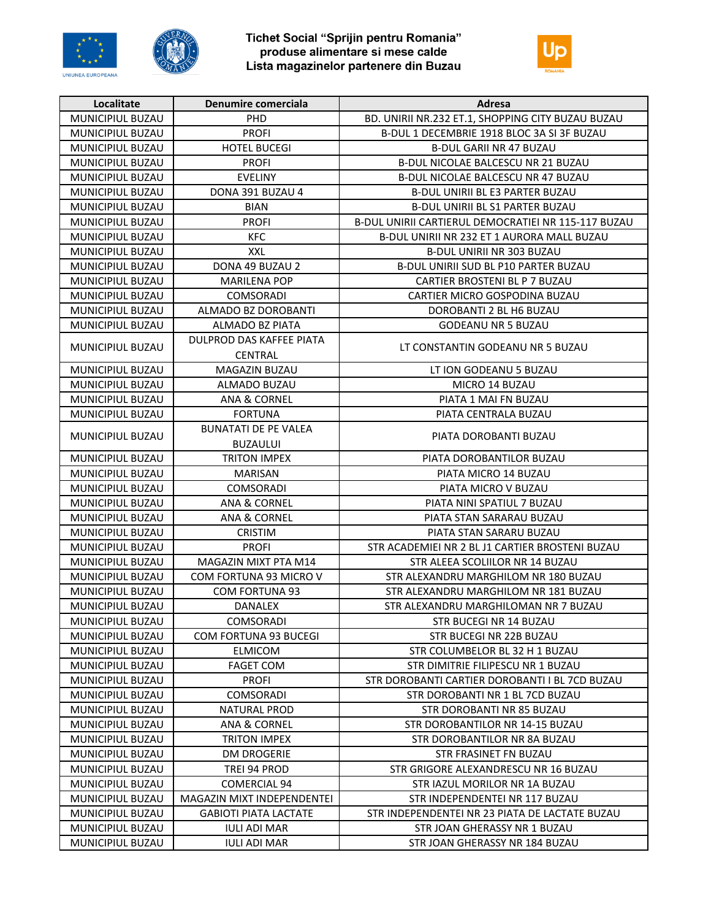





| Localitate              | Denumire comerciala          | <b>Adresa</b>                                       |
|-------------------------|------------------------------|-----------------------------------------------------|
| <b>MUNICIPIUL BUZAU</b> | <b>PHD</b>                   | BD. UNIRII NR.232 ET.1, SHOPPING CITY BUZAU BUZAU   |
| MUNICIPIUL BUZAU        | <b>PROFI</b>                 | B-DUL 1 DECEMBRIE 1918 BLOC 3A SI 3F BUZAU          |
| MUNICIPIUL BUZAU        | <b>HOTEL BUCEGI</b>          | <b>B-DUL GARII NR 47 BUZAU</b>                      |
| MUNICIPIUL BUZAU        | <b>PROFI</b>                 | <b>B-DUL NICOLAE BALCESCU NR 21 BUZAU</b>           |
| MUNICIPIUL BUZAU        | <b>EVELINY</b>               | B-DUL NICOLAE BALCESCU NR 47 BUZAU                  |
| MUNICIPIUL BUZAU        | DONA 391 BUZAU 4             | <b>B-DUL UNIRII BL E3 PARTER BUZAU</b>              |
| MUNICIPIUL BUZAU        | <b>BIAN</b>                  | <b>B-DUL UNIRII BL S1 PARTER BUZAU</b>              |
| MUNICIPIUL BUZAU        | <b>PROFI</b>                 | B-DUL UNIRII CARTIERUL DEMOCRATIEI NR 115-117 BUZAU |
| MUNICIPIUL BUZAU        | KFC                          | B-DUL UNIRII NR 232 ET 1 AURORA MALL BUZAU          |
| <b>MUNICIPIUL BUZAU</b> | XXL                          | <b>B-DUL UNIRII NR 303 BUZAU</b>                    |
| MUNICIPIUL BUZAU        | DONA 49 BUZAU 2              | <b>B-DUL UNIRII SUD BL P10 PARTER BUZAU</b>         |
| MUNICIPIUL BUZAU        | <b>MARILENA POP</b>          | CARTIER BROSTENI BL P 7 BUZAU                       |
| MUNICIPIUL BUZAU        | <b>COMSORADI</b>             | CARTIER MICRO GOSPODINA BUZAU                       |
| MUNICIPIUL BUZAU        | ALMADO BZ DOROBANTI          | DOROBANTI 2 BL H6 BUZAU                             |
| MUNICIPIUL BUZAU        | ALMADO BZ PIATA              | <b>GODEANU NR 5 BUZAU</b>                           |
|                         | DULPROD DAS KAFFEE PIATA     |                                                     |
| MUNICIPIUL BUZAU        | <b>CENTRAL</b>               | LT CONSTANTIN GODEANU NR 5 BUZAU                    |
| MUNICIPIUL BUZAU        | MAGAZIN BUZAU                | LT ION GODEANU 5 BUZAU                              |
| MUNICIPIUL BUZAU        | ALMADO BUZAU                 | MICRO 14 BUZAU                                      |
| MUNICIPIUL BUZAU        | ANA & CORNEL                 | PIATA 1 MAI FN BUZAU                                |
| MUNICIPIUL BUZAU        | <b>FORTUNA</b>               | PIATA CENTRALA BUZAU                                |
|                         | <b>BUNATATI DE PE VALEA</b>  |                                                     |
| MUNICIPIUL BUZAU        | <b>BUZAULUI</b>              | PIATA DOROBANTI BUZAU                               |
| MUNICIPIUL BUZAU        | <b>TRITON IMPEX</b>          | PIATA DOROBANTILOR BUZAU                            |
| MUNICIPIUL BUZAU        | <b>MARISAN</b>               | PIATA MICRO 14 BUZAU                                |
| MUNICIPIUL BUZAU        | <b>COMSORADI</b>             | PIATA MICRO V BUZAU                                 |
| MUNICIPIUL BUZAU        | ANA & CORNEL                 | PIATA NINI SPATIUL 7 BUZAU                          |
| MUNICIPIUL BUZAU        | ANA & CORNEL                 | PIATA STAN SARARAU BUZAU                            |
| MUNICIPIUL BUZAU        | CRISTIM                      | PIATA STAN SARARU BUZAU                             |
| MUNICIPIUL BUZAU        | <b>PROFI</b>                 | STR ACADEMIEI NR 2 BL J1 CARTIER BROSTENI BUZAU     |
| MUNICIPIUL BUZAU        | MAGAZIN MIXT PTA M14         | STR ALEEA SCOLIILOR NR 14 BUZAU                     |
| MUNICIPIUL BUZAU        | COM FORTUNA 93 MICRO V       | STR ALEXANDRU MARGHILOM NR 180 BUZAU                |
| MUNICIPIUL BUZAU        | <b>COM FORTUNA 93</b>        | STR ALEXANDRU MARGHILOM NR 181 BUZAU                |
| MUNICIPIUL BUZAU        | <b>DANALEX</b>               | STR ALEXANDRU MARGHILOMAN NR 7 BUZAU                |
| MUNICIPIUL BUZAU        | <b>COMSORADI</b>             | STR BUCEGI NR 14 BUZAU                              |
| <b>MUNICIPIUL BUZAU</b> | <b>COM FORTUNA 93 BUCEGI</b> | STR BUCEGI NR 22B BUZAU                             |
| MUNICIPIUL BUZAU        | ELMICOM                      | STR COLUMBELOR BL 32 H 1 BUZAU                      |
| MUNICIPIUL BUZAU        | <b>FAGET COM</b>             | STR DIMITRIE FILIPESCU NR 1 BUZAU                   |
| MUNICIPIUL BUZAU        | <b>PROFI</b>                 | STR DOROBANTI CARTIER DOROBANTI I BL 7CD BUZAU      |
| MUNICIPIUL BUZAU        | <b>COMSORADI</b>             | STR DOROBANTI NR 1 BL 7CD BUZAU                     |
| MUNICIPIUL BUZAU        | <b>NATURAL PROD</b>          | <b>STR DOROBANTI NR 85 BUZAU</b>                    |
| MUNICIPIUL BUZAU        | ANA & CORNEL                 | STR DOROBANTILOR NR 14-15 BUZAU                     |
| MUNICIPIUL BUZAU        | TRITON IMPEX                 | STR DOROBANTILOR NR 8A BUZAU                        |
| MUNICIPIUL BUZAU        | <b>DM DROGERIE</b>           | STR FRASINET FN BUZAU                               |
| MUNICIPIUL BUZAU        | TREI 94 PROD                 | STR GRIGORE ALEXANDRESCU NR 16 BUZAU                |
| MUNICIPIUL BUZAU        | <b>COMERCIAL 94</b>          | STR IAZUL MORILOR NR 1A BUZAU                       |
| MUNICIPIUL BUZAU        | MAGAZIN MIXT INDEPENDENTEI   | STR INDEPENDENTEI NR 117 BUZAU                      |
| MUNICIPIUL BUZAU        | <b>GABIOTI PIATA LACTATE</b> | STR INDEPENDENTEI NR 23 PIATA DE LACTATE BUZAU      |
| MUNICIPIUL BUZAU        | <b>IULI ADI MAR</b>          | STR JOAN GHERASSY NR 1 BUZAU                        |
| MUNICIPIUL BUZAU        | <b>IULI ADI MAR</b>          | STR JOAN GHERASSY NR 184 BUZAU                      |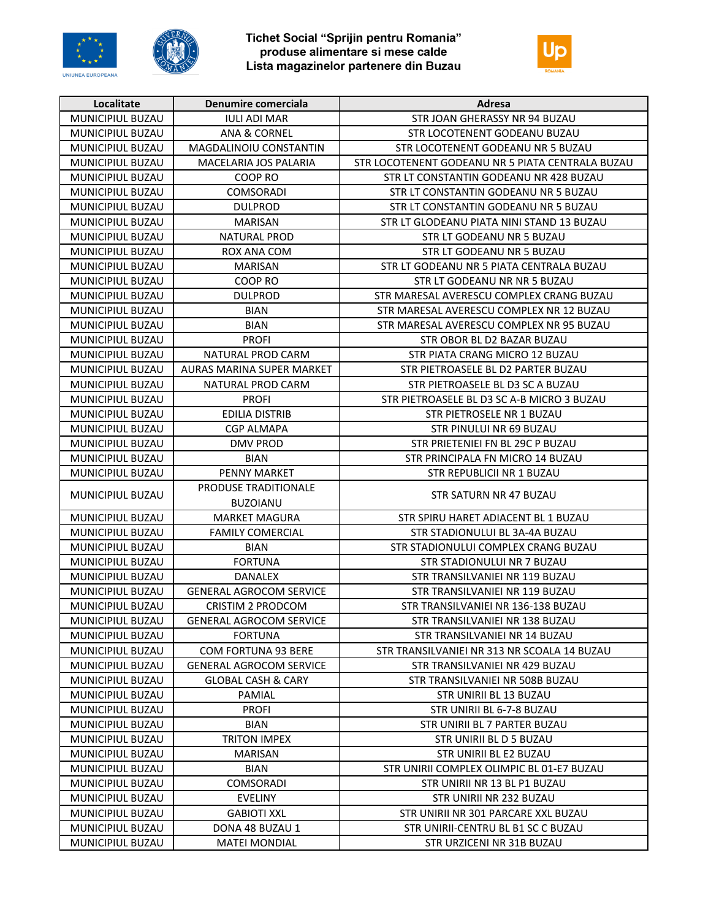





| Localitate              | Denumire comerciala            | <b>Adresa</b>                                    |
|-------------------------|--------------------------------|--------------------------------------------------|
| MUNICIPIUL BUZAU        | <b>IULI ADI MAR</b>            | STR JOAN GHERASSY NR 94 BUZAU                    |
| MUNICIPIUL BUZAU        | ANA & CORNEL                   | STR LOCOTENENT GODEANU BUZAU                     |
| MUNICIPIUL BUZAU        | MAGDALINOIU CONSTANTIN         | STR LOCOTENENT GODEANU NR 5 BUZAU                |
| MUNICIPIUL BUZAU        | MACELARIA JOS PALARIA          | STR LOCOTENENT GODEANU NR 5 PIATA CENTRALA BUZAU |
| MUNICIPIUL BUZAU        | COOP RO                        | STR LT CONSTANTIN GODEANU NR 428 BUZAU           |
| MUNICIPIUL BUZAU        | <b>COMSORADI</b>               | STR LT CONSTANTIN GODEANU NR 5 BUZAU             |
| MUNICIPIUL BUZAU        | <b>DULPROD</b>                 | STR LT CONSTANTIN GODEANU NR 5 BUZAU             |
| MUNICIPIUL BUZAU        | <b>MARISAN</b>                 | STR LT GLODEANU PIATA NINI STAND 13 BUZAU        |
| MUNICIPIUL BUZAU        | <b>NATURAL PROD</b>            | STR LT GODEANU NR 5 BUZAU                        |
| MUNICIPIUL BUZAU        | ROX ANA COM                    | STR LT GODEANU NR 5 BUZAU                        |
| MUNICIPIUL BUZAU        | <b>MARISAN</b>                 | STR LT GODEANU NR 5 PIATA CENTRALA BUZAU         |
| MUNICIPIUL BUZAU        | COOP RO                        | STR LT GODEANU NR NR 5 BUZAU                     |
| MUNICIPIUL BUZAU        | <b>DULPROD</b>                 | STR MARESAL AVERESCU COMPLEX CRANG BUZAU         |
| MUNICIPIUL BUZAU        | BIAN                           | STR MARESAL AVERESCU COMPLEX NR 12 BUZAU         |
| MUNICIPIUL BUZAU        | <b>BIAN</b>                    | STR MARESAL AVERESCU COMPLEX NR 95 BUZAU         |
| MUNICIPIUL BUZAU        | <b>PROFI</b>                   | STR OBOR BL D2 BAZAR BUZAU                       |
| <b>MUNICIPIUL BUZAU</b> | NATURAL PROD CARM              | STR PIATA CRANG MICRO 12 BUZAU                   |
| MUNICIPIUL BUZAU        | AURAS MARINA SUPER MARKET      | STR PIETROASELE BL D2 PARTER BUZAU               |
| MUNICIPIUL BUZAU        | NATURAL PROD CARM              | STR PIETROASELE BL D3 SC A BUZAU                 |
| MUNICIPIUL BUZAU        | <b>PROFI</b>                   | STR PIETROASELE BL D3 SC A-B MICRO 3 BUZAU       |
| MUNICIPIUL BUZAU        | <b>EDILIA DISTRIB</b>          | STR PIETROSELE NR 1 BUZAU                        |
| MUNICIPIUL BUZAU        | <b>CGP ALMAPA</b>              | STR PINULUI NR 69 BUZAU                          |
| MUNICIPIUL BUZAU        | <b>DMV PROD</b>                | STR PRIETENIEI FN BL 29C P BUZAU                 |
| MUNICIPIUL BUZAU        | <b>BIAN</b>                    | STR PRINCIPALA FN MICRO 14 BUZAU                 |
| MUNICIPIUL BUZAU        | <b>PENNY MARKET</b>            | STR REPUBLICII NR 1 BUZAU                        |
|                         | PRODUSE TRADITIONALE           |                                                  |
| MUNICIPIUL BUZAU        | <b>BUZOIANU</b>                | STR SATURN NR 47 BUZAU                           |
| MUNICIPIUL BUZAU        | <b>MARKET MAGURA</b>           | STR SPIRU HARET ADIACENT BL 1 BUZAU              |
| MUNICIPIUL BUZAU        | <b>FAMILY COMERCIAL</b>        | STR STADIONULUI BL 3A-4A BUZAU                   |
| MUNICIPIUL BUZAU        | <b>BIAN</b>                    | STR STADIONULUI COMPLEX CRANG BUZAU              |
| MUNICIPIUL BUZAU        | <b>FORTUNA</b>                 | STR STADIONULUI NR 7 BUZAU                       |
| MUNICIPIUL BUZAU        | <b>DANALEX</b>                 | STR TRANSILVANIEI NR 119 BUZAU                   |
| MUNICIPIUL BUZAU        | <b>GENERAL AGROCOM SERVICE</b> | STR TRANSILVANIEI NR 119 BUZAU                   |
| MUNICIPIUL BUZAU        | <b>CRISTIM 2 PRODCOM</b>       | STR TRANSILVANIEI NR 136-138 BUZAU               |
| MUNICIPIUL BUZAU        | <b>GENERAL AGROCOM SERVICE</b> | STR TRANSILVANIEI NR 138 BUZAU                   |
| <b>MUNICIPIUL BUZAU</b> | <b>FORTUNA</b>                 | STR TRANSILVANIEI NR 14 BUZAU                    |
| MUNICIPIUL BUZAU        | COM FORTUNA 93 BERE            | STR TRANSILVANIEI NR 313 NR SCOALA 14 BUZAU      |
| MUNICIPIUL BUZAU        | <b>GENERAL AGROCOM SERVICE</b> | STR TRANSILVANIEI NR 429 BUZAU                   |
| MUNICIPIUL BUZAU        | <b>GLOBAL CASH &amp; CARY</b>  | STR TRANSILVANIEI NR 508B BUZAU                  |
| MUNICIPIUL BUZAU        | PAMIAL                         | STR UNIRII BL 13 BUZAU                           |
| <b>MUNICIPIUL BUZAU</b> | <b>PROFI</b>                   | STR UNIRII BL 6-7-8 BUZAU                        |
| MUNICIPIUL BUZAU        | <b>BIAN</b>                    | STR UNIRII BL 7 PARTER BUZAU                     |
| MUNICIPIUL BUZAU        | TRITON IMPEX                   | STR UNIRII BL D 5 BUZAU                          |
| MUNICIPIUL BUZAU        | <b>MARISAN</b>                 | STR UNIRII BL E2 BUZAU                           |
| MUNICIPIUL BUZAU        | <b>BIAN</b>                    | STR UNIRII COMPLEX OLIMPIC BL 01-E7 BUZAU        |
| MUNICIPIUL BUZAU        | COMSORADI                      | STR UNIRII NR 13 BL P1 BUZAU                     |
| MUNICIPIUL BUZAU        | <b>EVELINY</b>                 | STR UNIRII NR 232 BUZAU                          |
| MUNICIPIUL BUZAU        | <b>GABIOTI XXL</b>             | STR UNIRII NR 301 PARCARE XXL BUZAU              |
| MUNICIPIUL BUZAU        | DONA 48 BUZAU 1                | STR UNIRII-CENTRU BL B1 SC C BUZAU               |
| MUNICIPIUL BUZAU        | <b>MATEI MONDIAL</b>           | STR URZICENI NR 31B BUZAU                        |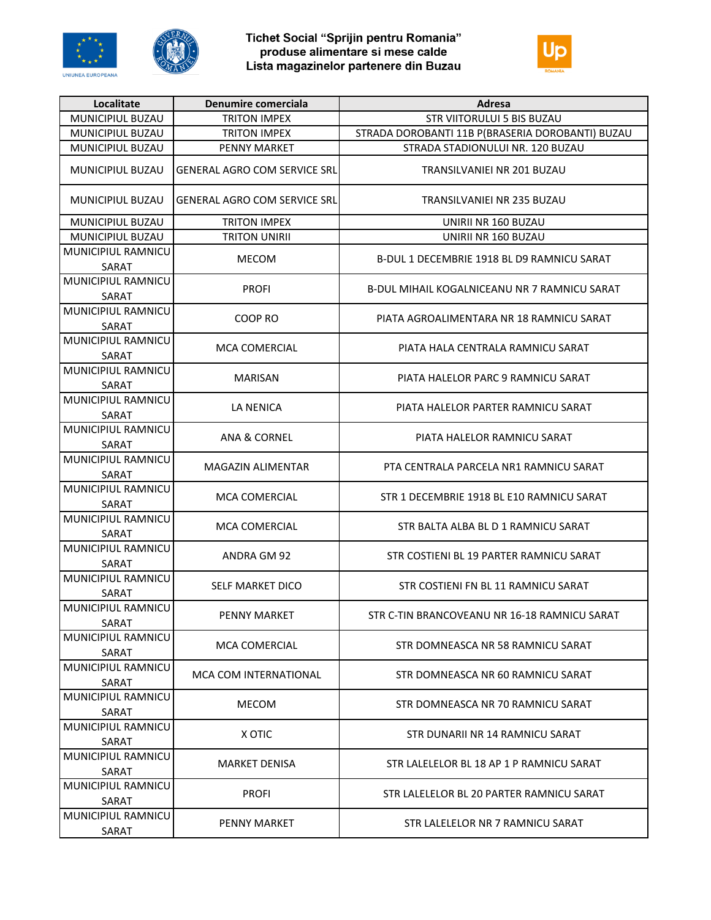





| Localitate                         | Denumire comerciala                 | Adresa                                            |
|------------------------------------|-------------------------------------|---------------------------------------------------|
| MUNICIPIUL BUZAU                   | <b>TRITON IMPEX</b>                 | <b>STR VIITORULUI 5 BIS BUZAU</b>                 |
| MUNICIPIUL BUZAU                   | <b>TRITON IMPEX</b>                 | STRADA DOROBANTI 11B P(BRASERIA DOROBANTI) BUZAU  |
| MUNICIPIUL BUZAU                   | PENNY MARKET                        | STRADA STADIONULUI NR. 120 BUZAU                  |
| MUNICIPIUL BUZAU                   | <b>GENERAL AGRO COM SERVICE SRL</b> | TRANSILVANIEI NR 201 BUZAU                        |
| MUNICIPIUL BUZAU                   | <b>GENERAL AGRO COM SERVICE SRL</b> | TRANSILVANIEI NR 235 BUZAU                        |
| MUNICIPIUL BUZAU                   | <b>TRITON IMPEX</b>                 | UNIRII NR 160 BUZAU                               |
| MUNICIPIUL BUZAU                   | <b>TRITON UNIRII</b>                | UNIRII NR 160 BUZAU                               |
| MUNICIPIUL RAMNICU<br>SARAT        | <b>MECOM</b>                        | <b>B-DUL 1 DECEMBRIE 1918 BL D9 RAMNICU SARAT</b> |
| MUNICIPIUL RAMNICU<br><b>SARAT</b> | <b>PROFI</b>                        | B-DUL MIHAIL KOGALNICEANU NR 7 RAMNICU SARAT      |
| MUNICIPIUL RAMNICU<br>SARAT        | COOP RO                             | PIATA AGROALIMENTARA NR 18 RAMNICU SARAT          |
| MUNICIPIUL RAMNICU<br>SARAT        | MCA COMERCIAL                       | PIATA HALA CENTRALA RAMNICU SARAT                 |
| MUNICIPIUL RAMNICU<br>SARAT        | <b>MARISAN</b>                      | PIATA HALELOR PARC 9 RAMNICU SARAT                |
| <b>MUNICIPIUL RAMNICU</b><br>SARAT | LA NENICA                           | PIATA HALELOR PARTER RAMNICU SARAT                |
| MUNICIPIUL RAMNICU<br>SARAT        | ANA & CORNEL                        | PIATA HALELOR RAMNICU SARAT                       |
| MUNICIPIUL RAMNICU<br>SARAT        | MAGAZIN ALIMENTAR                   | PTA CENTRALA PARCELA NR1 RAMNICU SARAT            |
| MUNICIPIUL RAMNICU<br>SARAT        | MCA COMERCIAL                       | STR 1 DECEMBRIE 1918 BL E10 RAMNICU SARAT         |
| MUNICIPIUL RAMNICU<br><b>SARAT</b> | MCA COMERCIAL                       | STR BALTA ALBA BL D 1 RAMNICU SARAT               |
| MUNICIPIUL RAMNICU<br>SARAT        | ANDRA GM 92                         | STR COSTIENI BL 19 PARTER RAMNICU SARAT           |
| MUNICIPIUL RAMNICU<br>SARAT        | SELF MARKET DICO                    | STR COSTIENI FN BL 11 RAMNICU SARAT               |
| MUNICIPIUL RAMNICU<br>SARAT        | PENNY MARKET                        | STR C-TIN BRANCOVEANU NR 16-18 RAMNICU SARAT      |
| MUNICIPIUL RAMNICU<br>SARAT        | <b>MCA COMERCIAL</b>                | STR DOMNEASCA NR 58 RAMNICU SARAT                 |
| MUNICIPIUL RAMNICU<br>SARAT        | MCA COM INTERNATIONAL               | STR DOMNEASCA NR 60 RAMNICU SARAT                 |
| MUNICIPIUL RAMNICU<br>SARAT        | <b>MECOM</b>                        | STR DOMNEASCA NR 70 RAMNICU SARAT                 |
| MUNICIPIUL RAMNICU<br>SARAT        | X OTIC                              | STR DUNARII NR 14 RAMNICU SARAT                   |
| MUNICIPIUL RAMNICU<br>SARAT        | MARKET DENISA                       | STR LALELELOR BL 18 AP 1 P RAMNICU SARAT          |
| MUNICIPIUL RAMNICU<br>SARAT        | <b>PROFI</b>                        | STR LALELELOR BL 20 PARTER RAMNICU SARAT          |
| MUNICIPIUL RAMNICU<br>SARAT        | PENNY MARKET                        | STR LALELELOR NR 7 RAMNICU SARAT                  |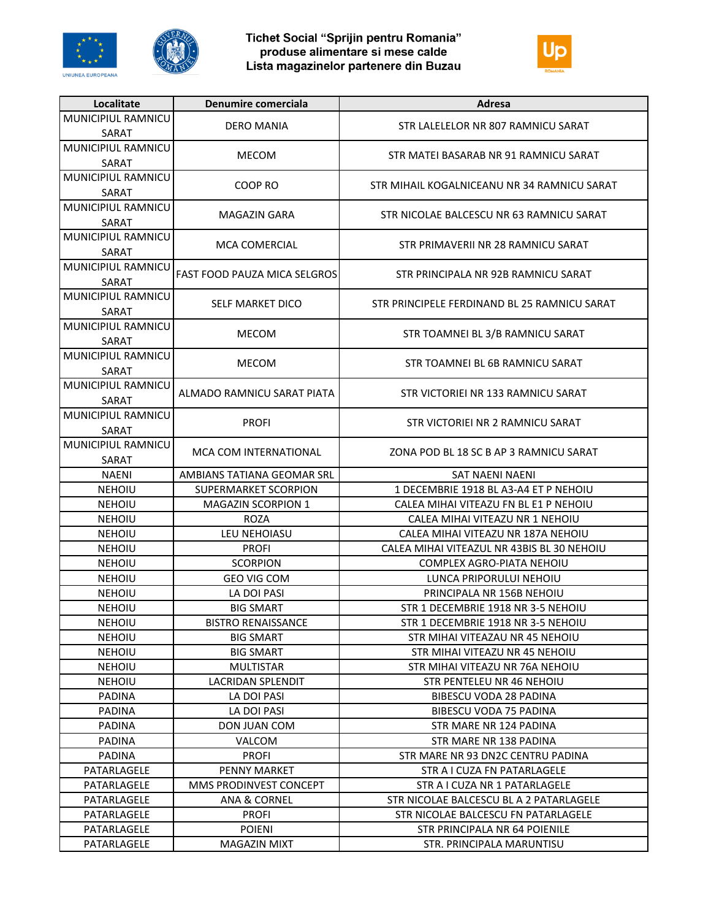





| Localitate                     | Denumire comerciala                      | Adresa                                                                   |
|--------------------------------|------------------------------------------|--------------------------------------------------------------------------|
| MUNICIPIUL RAMNICU             | <b>DERO MANIA</b>                        |                                                                          |
| SARAT                          |                                          | STR LALELELOR NR 807 RAMNICU SARAT                                       |
| MUNICIPIUL RAMNICU             | <b>MECOM</b>                             | STR MATELBASARAB NR 91 RAMNICU SARAT                                     |
| SARAT                          |                                          |                                                                          |
| MUNICIPIUL RAMNICU             | COOP RO                                  | STR MIHAIL KOGALNICEANU NR 34 RAMNICU SARAT                              |
| SARAT                          |                                          |                                                                          |
| MUNICIPIUL RAMNICU             | MAGAZIN GARA                             | STR NICOLAE BALCESCU NR 63 RAMNICU SARAT                                 |
| SARAT                          |                                          |                                                                          |
| MUNICIPIUL RAMNICU             | <b>MCA COMERCIAL</b>                     | STR PRIMAVERII NR 28 RAMNICU SARAT                                       |
| SARAT                          |                                          |                                                                          |
| MUNICIPIUL RAMNICU             | <b>FAST FOOD PAUZA MICA SELGROS</b>      | STR PRINCIPALA NR 92B RAMNICU SARAT                                      |
| SARAT                          |                                          |                                                                          |
| MUNICIPIUL RAMNICU             | SELF MARKET DICO                         | STR PRINCIPELE FERDINAND BL 25 RAMNICU SARAT                             |
| SARAT                          |                                          |                                                                          |
| MUNICIPIUL RAMNICU             | <b>MECOM</b>                             | STR TOAMNEI BL 3/B RAMNICU SARAT                                         |
| SARAT                          |                                          |                                                                          |
| MUNICIPIUL RAMNICU             | <b>MECOM</b>                             | STR TOAMNEI BL 6B RAMNICU SARAT                                          |
| SARAT                          |                                          |                                                                          |
| MUNICIPIUL RAMNICU             | ALMADO RAMNICU SARAT PIATA               | STR VICTORIEI NR 133 RAMNICU SARAT                                       |
| SARAT                          |                                          |                                                                          |
| MUNICIPIUL RAMNICU             | <b>PROFI</b>                             | STR VICTORIEI NR 2 RAMNICU SARAT                                         |
| SARAT                          |                                          |                                                                          |
| MUNICIPIUL RAMNICU             | MCA COM INTERNATIONAL                    | ZONA POD BL 18 SC B AP 3 RAMNICU SARAT                                   |
| SARAT                          |                                          |                                                                          |
| <b>NAENI</b>                   | AMBIANS TATIANA GEOMAR SRL               | <b>SAT NAENI NAENI</b>                                                   |
| <b>NEHOIU</b>                  | SUPERMARKET SCORPION                     | 1 DECEMBRIE 1918 BL A3-A4 ET P NEHOIU                                    |
| <b>NEHOIU</b><br><b>NEHOIU</b> | <b>MAGAZIN SCORPION 1</b><br><b>ROZA</b> | CALEA MIHAI VITEAZU FN BL E1 P NEHOIU<br>CALEA MIHAI VITEAZU NR 1 NEHOIU |
| <b>NEHOIU</b>                  | LEU NEHOIASU                             | CALEA MIHAI VITEAZU NR 187A NEHOIU                                       |
| <b>NEHOIU</b>                  | <b>PROFI</b>                             | CALEA MIHAI VITEAZUL NR 43BIS BL 30 NEHOIU                               |
| <b>NEHOIU</b>                  | <b>SCORPION</b>                          | COMPLEX AGRO-PIATA NEHOIU                                                |
| <b>NEHOIU</b>                  | <b>GEO VIG COM</b>                       | LUNCA PRIPORULUI NEHOIU                                                  |
| NEHOIU                         | LA DOI PASI                              | PRINCIPALA NR 156B NEHOIU                                                |
| NEHOIU                         | <b>BIG SMART</b>                         | STR 1 DECEMBRIE 1918 NR 3-5 NEHOIU                                       |
| <b>NEHOIU</b>                  | <b>BISTRO RENAISSANCE</b>                | STR 1 DECEMBRIE 1918 NR 3-5 NEHOIU                                       |
| <b>NEHOIU</b>                  | <b>BIG SMART</b>                         | STR MIHAI VITEAZAU NR 45 NEHOIU                                          |
| <b>NEHOIU</b>                  | <b>BIG SMART</b>                         | STR MIHAI VITEAZU NR 45 NEHOIU                                           |
| <b>NEHOIU</b>                  | <b>MULTISTAR</b>                         | STR MIHAI VITEAZU NR 76A NEHOIU                                          |
| <b>NEHOIU</b>                  | LACRIDAN SPLENDIT                        | STR PENTELEU NR 46 NEHOIU                                                |
| <b>PADINA</b>                  | LA DOI PASI                              | <b>BIBESCU VODA 28 PADINA</b>                                            |
| <b>PADINA</b>                  | LA DOI PASI                              | <b>BIBESCU VODA 75 PADINA</b>                                            |
| <b>PADINA</b>                  | <b>DON JUAN COM</b>                      | STR MARE NR 124 PADINA                                                   |
| PADINA                         | VALCOM                                   | STR MARE NR 138 PADINA                                                   |
| <b>PADINA</b>                  | <b>PROFI</b>                             | STR MARE NR 93 DN2C CENTRU PADINA                                        |
| PATARLAGELE                    | <b>PENNY MARKET</b>                      | STR A I CUZA FN PATARLAGELE                                              |
| PATARLAGELE                    | MMS PRODINVEST CONCEPT                   | STR A I CUZA NR 1 PATARLAGELE                                            |
| PATARLAGELE                    | ANA & CORNEL                             | STR NICOLAE BALCESCU BL A 2 PATARLAGELE                                  |
| PATARLAGELE                    | <b>PROFI</b>                             | STR NICOLAE BALCESCU FN PATARLAGELE                                      |
| PATARLAGELE                    | <b>POIENI</b>                            | STR PRINCIPALA NR 64 POIENILE                                            |
| PATARLAGELE                    | <b>MAGAZIN MIXT</b>                      | STR. PRINCIPALA MARUNTISU                                                |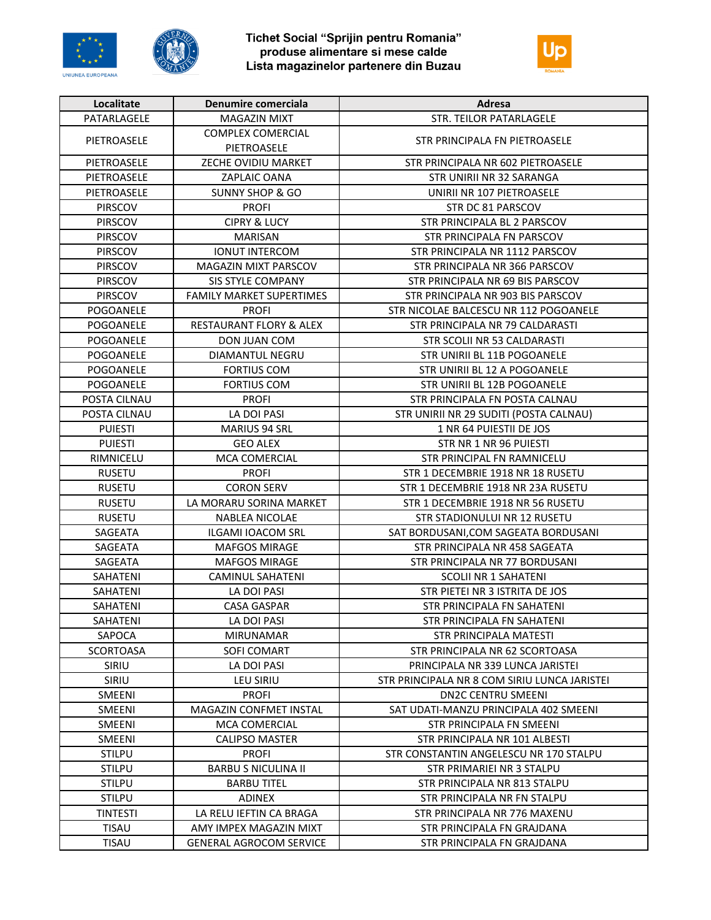





| Localitate       | Denumire comerciala                     | Adresa                                       |
|------------------|-----------------------------------------|----------------------------------------------|
| PATARLAGELE      | <b>MAGAZIN MIXT</b>                     | STR. TEILOR PATARLAGELE                      |
| PIETROASELE      | <b>COMPLEX COMERCIAL</b><br>PIETROASELE | STR PRINCIPALA FN PIETROASELE                |
| PIETROASELE      | ZECHE OVIDIU MARKET                     | STR PRINCIPALA NR 602 PIETROASELE            |
| PIETROASELE      | <b>ZAPLAIC OANA</b>                     | STR UNIRII NR 32 SARANGA                     |
| PIETROASELE      | <b>SUNNY SHOP &amp; GO</b>              | UNIRII NR 107 PIETROASELE                    |
| <b>PIRSCOV</b>   | <b>PROFI</b>                            | STR DC 81 PARSCOV                            |
| PIRSCOV          | <b>CIPRY &amp; LUCY</b>                 | STR PRINCIPALA BL 2 PARSCOV                  |
| PIRSCOV          | <b>MARISAN</b>                          | STR PRINCIPALA FN PARSCOV                    |
| PIRSCOV          | <b>IONUT INTERCOM</b>                   | STR PRINCIPALA NR 1112 PARSCOV               |
| PIRSCOV          | MAGAZIN MIXT PARSCOV                    | STR PRINCIPALA NR 366 PARSCOV                |
| <b>PIRSCOV</b>   | <b>SIS STYLE COMPANY</b>                | STR PRINCIPALA NR 69 BIS PARSCOV             |
| PIRSCOV          | <b>FAMILY MARKET SUPERTIMES</b>         | STR PRINCIPALA NR 903 BIS PARSCOV            |
| POGOANELE        | <b>PROFI</b>                            | STR NICOLAE BALCESCU NR 112 POGOANELE        |
| POGOANELE        | RESTAURANT FLORY & ALEX                 | STR PRINCIPALA NR 79 CALDARASTI              |
| POGOANELE        | <b>DON JUAN COM</b>                     | STR SCOLII NR 53 CALDARASTI                  |
| POGOANELE        | DIAMANTUL NEGRU                         | STR UNIRII BL 11B POGOANELE                  |
| POGOANELE        | <b>FORTIUS COM</b>                      | STR UNIRII BL 12 A POGOANELE                 |
| POGOANELE        | <b>FORTIUS COM</b>                      | STR UNIRII BL 12B POGOANELE                  |
| POSTA CILNAU     | <b>PROFI</b>                            | STR PRINCIPALA FN POSTA CALNAU               |
| POSTA CILNAU     | LA DOI PASI                             | STR UNIRII NR 29 SUDITI (POSTA CALNAU)       |
| <b>PUIESTI</b>   | <b>MARIUS 94 SRL</b>                    | 1 NR 64 PUIESTII DE JOS                      |
| <b>PUIESTI</b>   | <b>GEO ALEX</b>                         | STR NR 1 NR 96 PUIESTI                       |
| RIMNICELU        | <b>MCA COMERCIAL</b>                    | STR PRINCIPAL FN RAMNICELU                   |
| <b>RUSETU</b>    | <b>PROFI</b>                            | STR 1 DECEMBRIE 1918 NR 18 RUSETU            |
| <b>RUSETU</b>    | <b>CORON SERV</b>                       | STR 1 DECEMBRIE 1918 NR 23A RUSETU           |
| <b>RUSETU</b>    | LA MORARU SORINA MARKET                 | STR 1 DECEMBRIE 1918 NR 56 RUSETU            |
| <b>RUSETU</b>    | NABLEA NICOLAE                          | STR STADIONULUI NR 12 RUSETU                 |
| SAGEATA          | <b>ILGAMI IOACOM SRL</b>                | SAT BORDUSANI, COM SAGEATA BORDUSANI         |
| SAGEATA          | <b>MAFGOS MIRAGE</b>                    | STR PRINCIPALA NR 458 SAGEATA                |
| SAGEATA          | <b>MAFGOS MIRAGE</b>                    | STR PRINCIPALA NR 77 BORDUSANI               |
| SAHATENI         | <b>CAMINUL SAHATENI</b>                 | SCOLII NR 1 SAHATENI                         |
| SAHATENI         | LA DOI PASI                             | STR PIETEI NR 3 ISTRITA DE JOS               |
| SAHATENI         | <b>CASA GASPAR</b>                      | <b>STR PRINCIPALA FN SAHATENI</b>            |
| SAHATENI         | LA DOI PASI                             | STR PRINCIPALA FN SAHATENI                   |
| SAPOCA           | MIRUNAMAR                               | STR PRINCIPALA MATESTI                       |
| <b>SCORTOASA</b> | <b>SOFI COMART</b>                      | STR PRINCIPALA NR 62 SCORTOASA               |
| SIRIU            | LA DOI PASI                             | PRINCIPALA NR 339 LUNCA JARISTEI             |
| SIRIU            | LEU SIRIU                               | STR PRINCIPALA NR 8 COM SIRIU LUNCA JARISTEI |
| SMEENI           | <b>PROFI</b>                            | <b>DN2C CENTRU SMEENI</b>                    |
| SMEENI           | MAGAZIN CONFMET INSTAL                  | SAT UDATI-MANZU PRINCIPALA 402 SMEENI        |
| SMEENI           | <b>MCA COMERCIAL</b>                    | STR PRINCIPALA FN SMEENI                     |
| SMEENI           | <b>CALIPSO MASTER</b>                   | STR PRINCIPALA NR 101 ALBESTI                |
| <b>STILPU</b>    | <b>PROFI</b>                            | STR CONSTANTIN ANGELESCU NR 170 STALPU       |
| <b>STILPU</b>    | <b>BARBU S NICULINA II</b>              | STR PRIMARIEI NR 3 STALPU                    |
| <b>STILPU</b>    | <b>BARBU TITEL</b>                      | STR PRINCIPALA NR 813 STALPU                 |
| <b>STILPU</b>    | ADINEX                                  | STR PRINCIPALA NR FN STALPU                  |
| <b>TINTESTI</b>  | LA RELU IEFTIN CA BRAGA                 | STR PRINCIPALA NR 776 MAXENU                 |
| <b>TISAU</b>     | AMY IMPEX MAGAZIN MIXT                  | STR PRINCIPALA FN GRAJDANA                   |
| <b>TISAU</b>     | <b>GENERAL AGROCOM SERVICE</b>          | STR PRINCIPALA FN GRAJDANA                   |